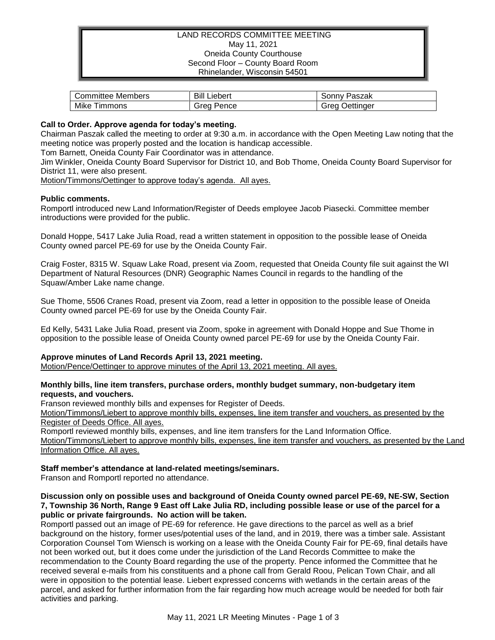## LAND RECORDS COMMITTEE MEETING May 11, 2021 Oneida County Courthouse Second Floor – County Board Room Rhinelander, Wisconsin 54501

| Members     | Bill    | Paszak    |
|-------------|---------|-----------|
| Committee " | .ıebert | ್ರonny ∂  |
| Mike        | Grea    | Jettinaer |
| I immons    | Pence   | irea      |

#### **Call to Order. Approve agenda for today's meeting.**

Chairman Paszak called the meeting to order at 9:30 a.m. in accordance with the Open Meeting Law noting that the meeting notice was properly posted and the location is handicap accessible.

Tom Barnett, Oneida County Fair Coordinator was in attendance.

Jim Winkler, Oneida County Board Supervisor for District 10, and Bob Thome, Oneida County Board Supervisor for District 11, were also present.

Motion/Timmons/Oettinger to approve today's agenda. All ayes.

## **Public comments.**

Romportl introduced new Land Information/Register of Deeds employee Jacob Piasecki. Committee member introductions were provided for the public.

Donald Hoppe, 5417 Lake Julia Road, read a written statement in opposition to the possible lease of Oneida County owned parcel PE-69 for use by the Oneida County Fair.

Craig Foster, 8315 W. Squaw Lake Road, present via Zoom, requested that Oneida County file suit against the WI Department of Natural Resources (DNR) Geographic Names Council in regards to the handling of the Squaw/Amber Lake name change.

Sue Thome, 5506 Cranes Road, present via Zoom, read a letter in opposition to the possible lease of Oneida County owned parcel PE-69 for use by the Oneida County Fair.

Ed Kelly, 5431 Lake Julia Road, present via Zoom, spoke in agreement with Donald Hoppe and Sue Thome in opposition to the possible lease of Oneida County owned parcel PE-69 for use by the Oneida County Fair.

# **Approve minutes of Land Records April 13, 2021 meeting.**

Motion/Pence/Oettinger to approve minutes of the April 13, 2021 meeting. All ayes.

#### **Monthly bills, line item transfers, purchase orders, monthly budget summary, non-budgetary item requests, and vouchers.**

Franson reviewed monthly bills and expenses for Register of Deeds.

Motion/Timmons/Liebert to approve monthly bills, expenses, line item transfer and vouchers, as presented by the Register of Deeds Office. All ayes.

Romportl reviewed monthly bills, expenses, and line item transfers for the Land Information Office.

Motion/Timmons/Liebert to approve monthly bills, expenses, line item transfer and vouchers, as presented by the Land Information Office. All ayes.

# **Staff member's attendance at land-related meetings/seminars.**

Franson and Romportl reported no attendance.

#### **Discussion only on possible uses and background of Oneida County owned parcel PE-69, NE-SW, Section 7, Township 36 North, Range 9 East off Lake Julia RD, including possible lease or use of the parcel for a public or private fairgrounds. No action will be taken.**

Romportl passed out an image of PE-69 for reference. He gave directions to the parcel as well as a brief background on the history, former uses/potential uses of the land, and in 2019, there was a timber sale. Assistant Corporation Counsel Tom Wiensch is working on a lease with the Oneida County Fair for PE-69, final details have not been worked out, but it does come under the jurisdiction of the Land Records Committee to make the recommendation to the County Board regarding the use of the property. Pence informed the Committee that he received several e-mails from his constituents and a phone call from Gerald Roou, Pelican Town Chair, and all were in opposition to the potential lease. Liebert expressed concerns with wetlands in the certain areas of the parcel, and asked for further information from the fair regarding how much acreage would be needed for both fair activities and parking.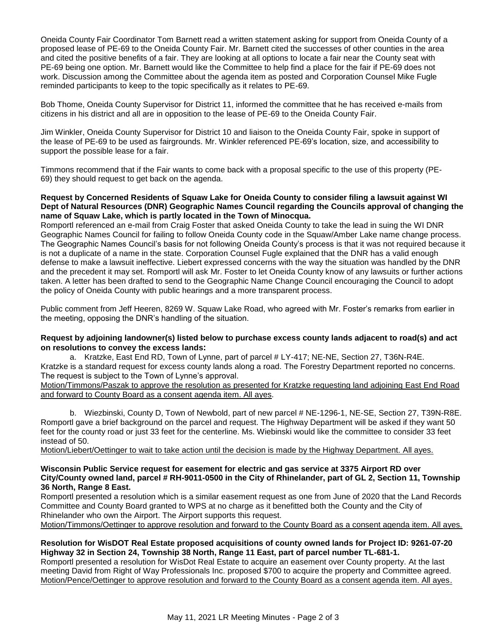Oneida County Fair Coordinator Tom Barnett read a written statement asking for support from Oneida County of a proposed lease of PE-69 to the Oneida County Fair. Mr. Barnett cited the successes of other counties in the area and cited the positive benefits of a fair. They are looking at all options to locate a fair near the County seat with PE-69 being one option. Mr. Barnett would like the Committee to help find a place for the fair if PE-69 does not work. Discussion among the Committee about the agenda item as posted and Corporation Counsel Mike Fugle reminded participants to keep to the topic specifically as it relates to PE-69.

Bob Thome, Oneida County Supervisor for District 11, informed the committee that he has received e-mails from citizens in his district and all are in opposition to the lease of PE-69 to the Oneida County Fair.

Jim Winkler, Oneida County Supervisor for District 10 and liaison to the Oneida County Fair, spoke in support of the lease of PE-69 to be used as fairgrounds. Mr. Winkler referenced PE-69's location, size, and accessibility to support the possible lease for a fair.

Timmons recommend that if the Fair wants to come back with a proposal specific to the use of this property (PE-69) they should request to get back on the agenda.

## **Request by Concerned Residents of Squaw Lake for Oneida County to consider filing a lawsuit against WI Dept of Natural Resources (DNR) Geographic Names Council regarding the Councils approval of changing the name of Squaw Lake, which is partly located in the Town of Minocqua.**

Romportl referenced an e-mail from Craig Foster that asked Oneida County to take the lead in suing the WI DNR Geographic Names Council for failing to follow Oneida County code in the Squaw/Amber Lake name change process. The Geographic Names Council's basis for not following Oneida County's process is that it was not required because it is not a duplicate of a name in the state. Corporation Counsel Fugle explained that the DNR has a valid enough defense to make a lawsuit ineffective. Liebert expressed concerns with the way the situation was handled by the DNR and the precedent it may set. Romportl will ask Mr. Foster to let Oneida County know of any lawsuits or further actions taken. A letter has been drafted to send to the Geographic Name Change Council encouraging the Council to adopt the policy of Oneida County with public hearings and a more transparent process.

Public comment from Jeff Heeren, 8269 W. Squaw Lake Road, who agreed with Mr. Foster's remarks from earlier in the meeting, opposing the DNR's handling of the situation.

## **Request by adjoining landowner(s) listed below to purchase excess county lands adjacent to road(s) and act on resolutions to convey the excess lands:**

a. Kratzke, East End RD, Town of Lynne, part of parcel # LY-417; NE-NE, Section 27, T36N-R4E. Kratzke is a standard request for excess county lands along a road. The Forestry Department reported no concerns. The request is subject to the Town of Lynne's approval.

Motion/Timmons/Paszak to approve the resolution as presented for Kratzke requesting land adjoining East End Road and forward to County Board as a consent agenda item. All ayes.

b. Wiezbinski, County D, Town of Newbold, part of new parcel # NE-1296-1, NE-SE, Section 27, T39N-R8E. Romportl gave a brief background on the parcel and request. The Highway Department will be asked if they want 50 feet for the county road or just 33 feet for the centerline. Ms. Wiebinski would like the committee to consider 33 feet instead of 50.

Motion/Liebert/Oettinger to wait to take action until the decision is made by the Highway Department. All ayes.

#### **Wisconsin Public Service request for easement for electric and gas service at 3375 Airport RD over City/County owned land, parcel # RH-9011-0500 in the City of Rhinelander, part of GL 2, Section 11, Township 36 North, Range 8 East.**

Romportl presented a resolution which is a similar easement request as one from June of 2020 that the Land Records Committee and County Board granted to WPS at no charge as it benefitted both the County and the City of Rhinelander who own the Airport. The Airport supports this request.

Motion/Timmons/Oettinger to approve resolution and forward to the County Board as a consent agenda item. All ayes.

## **Resolution for WisDOT Real Estate proposed acquisitions of county owned lands for Project ID: 9261-07-20 Highway 32 in Section 24, Township 38 North, Range 11 East, part of parcel number TL-681-1.**

Romportl presented a resolution for WisDot Real Estate to acquire an easement over County property. At the last meeting David from Right of Way Professionals Inc. proposed \$700 to acquire the property and Committee agreed. Motion/Pence/Oettinger to approve resolution and forward to the County Board as a consent agenda item. All ayes.